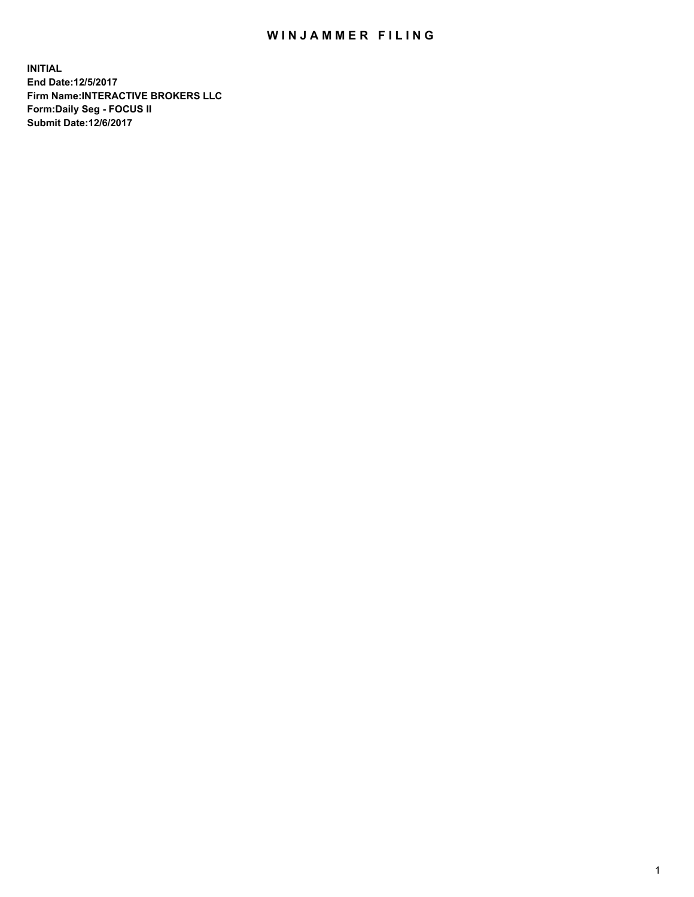## WIN JAMMER FILING

**INITIAL End Date:12/5/2017 Firm Name:INTERACTIVE BROKERS LLC Form:Daily Seg - FOCUS II Submit Date:12/6/2017**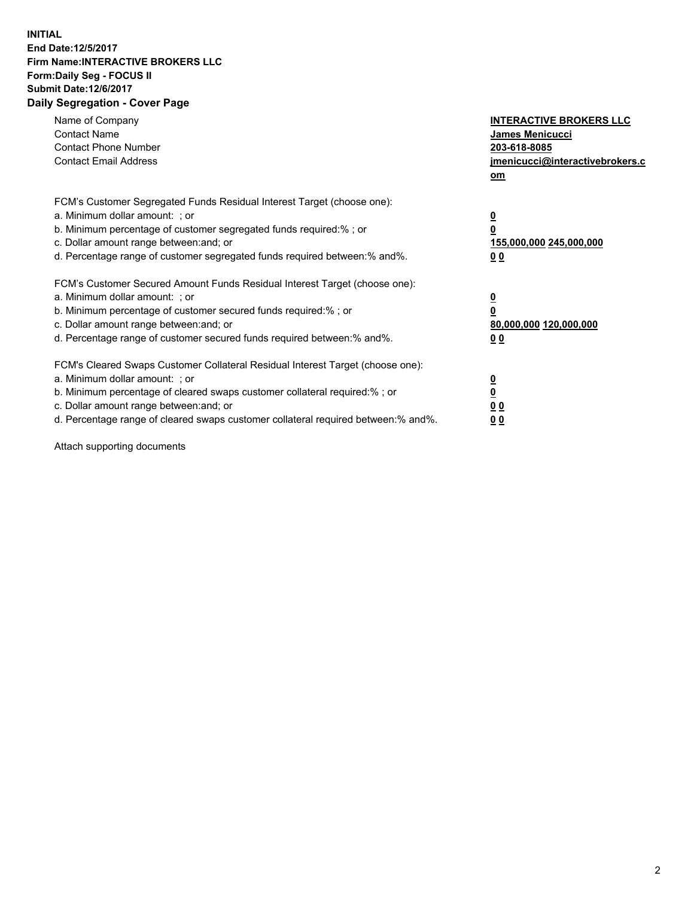## **INITIAL End Date:12/5/2017 Firm Name:INTERACTIVE BROKERS LLC Form:Daily Seg - FOCUS II Submit Date:12/6/2017 Daily Segregation - Cover Page**

| Name of Company<br><b>Contact Name</b><br><b>Contact Phone Number</b><br><b>Contact Email Address</b>                                                                                                                                                                                                                          | <b>INTERACTIVE BROKERS LLC</b><br><b>James Menicucci</b><br>203-618-8085<br>jmenicucci@interactivebrokers.c<br>om |
|--------------------------------------------------------------------------------------------------------------------------------------------------------------------------------------------------------------------------------------------------------------------------------------------------------------------------------|-------------------------------------------------------------------------------------------------------------------|
| FCM's Customer Segregated Funds Residual Interest Target (choose one):<br>a. Minimum dollar amount: ; or<br>b. Minimum percentage of customer segregated funds required:%; or<br>c. Dollar amount range between: and; or<br>d. Percentage range of customer segregated funds required between:% and%.                          | $\overline{\mathbf{0}}$<br>0<br>155,000,000 245,000,000<br>0 <sub>0</sub>                                         |
| FCM's Customer Secured Amount Funds Residual Interest Target (choose one):<br>a. Minimum dollar amount: ; or<br>b. Minimum percentage of customer secured funds required:%; or<br>c. Dollar amount range between: and; or<br>d. Percentage range of customer secured funds required between: % and %.                          | $\overline{\mathbf{0}}$<br>0<br>80,000,000 120,000,000<br>0 <sub>0</sub>                                          |
| FCM's Cleared Swaps Customer Collateral Residual Interest Target (choose one):<br>a. Minimum dollar amount: ; or<br>b. Minimum percentage of cleared swaps customer collateral required:% ; or<br>c. Dollar amount range between: and; or<br>d. Percentage range of cleared swaps customer collateral required between:% and%. | $\overline{\mathbf{0}}$<br>$\overline{\mathbf{0}}$<br>0 <sub>0</sub><br><u>00</u>                                 |

Attach supporting documents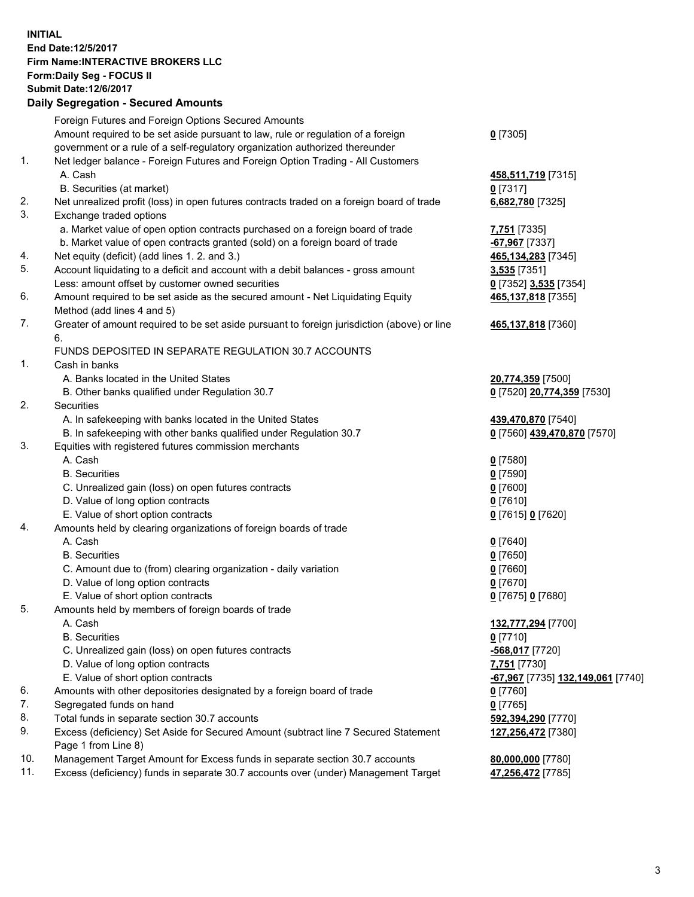## **INITIAL End Date:12/5/2017 Firm Name:INTERACTIVE BROKERS LLC Form:Daily Seg - FOCUS II Submit Date:12/6/2017**

|     | <b>Daily Segregation - Secured Amounts</b>                                                                                                                        |                                   |
|-----|-------------------------------------------------------------------------------------------------------------------------------------------------------------------|-----------------------------------|
|     | Foreign Futures and Foreign Options Secured Amounts                                                                                                               |                                   |
|     | Amount required to be set aside pursuant to law, rule or regulation of a foreign                                                                                  | $0$ [7305]                        |
|     | government or a rule of a self-regulatory organization authorized thereunder                                                                                      |                                   |
| 1.  | Net ledger balance - Foreign Futures and Foreign Option Trading - All Customers                                                                                   |                                   |
|     | A. Cash                                                                                                                                                           | 458,511,719 [7315]                |
|     | B. Securities (at market)                                                                                                                                         | $0$ [7317]                        |
| 2.  | Net unrealized profit (loss) in open futures contracts traded on a foreign board of trade                                                                         | 6,682,780 [7325]                  |
| 3.  | Exchange traded options                                                                                                                                           |                                   |
|     | a. Market value of open option contracts purchased on a foreign board of trade                                                                                    | 7,751 [7335]                      |
|     | b. Market value of open contracts granted (sold) on a foreign board of trade                                                                                      | -67,967 [7337]                    |
| 4.  | Net equity (deficit) (add lines 1.2. and 3.)                                                                                                                      | 465,134,283 [7345]                |
| 5.  | Account liquidating to a deficit and account with a debit balances - gross amount                                                                                 | 3,535 [7351]                      |
|     | Less: amount offset by customer owned securities                                                                                                                  | 0 [7352] 3,535 [7354]             |
| 6.  | Amount required to be set aside as the secured amount - Net Liquidating Equity                                                                                    | 465,137,818 [7355]                |
| 7.  | Method (add lines 4 and 5)                                                                                                                                        |                                   |
|     | Greater of amount required to be set aside pursuant to foreign jurisdiction (above) or line<br>6.                                                                 | 465,137,818 [7360]                |
|     | FUNDS DEPOSITED IN SEPARATE REGULATION 30.7 ACCOUNTS                                                                                                              |                                   |
| 1.  | Cash in banks                                                                                                                                                     |                                   |
|     | A. Banks located in the United States                                                                                                                             | 20,774,359 [7500]                 |
|     | B. Other banks qualified under Regulation 30.7                                                                                                                    | 0 [7520] 20,774,359 [7530]        |
| 2.  | Securities                                                                                                                                                        |                                   |
|     | A. In safekeeping with banks located in the United States                                                                                                         | 439,470,870 [7540]                |
|     | B. In safekeeping with other banks qualified under Regulation 30.7                                                                                                | 0 [7560] 439,470,870 [7570]       |
| 3.  | Equities with registered futures commission merchants                                                                                                             |                                   |
|     | A. Cash                                                                                                                                                           | $0$ [7580]                        |
|     | <b>B.</b> Securities                                                                                                                                              | $0$ [7590]                        |
|     | C. Unrealized gain (loss) on open futures contracts                                                                                                               | $0$ [7600]                        |
|     | D. Value of long option contracts                                                                                                                                 | $0$ [7610]                        |
|     | E. Value of short option contracts                                                                                                                                | 0 [7615] 0 [7620]                 |
| 4.  | Amounts held by clearing organizations of foreign boards of trade                                                                                                 |                                   |
|     | A. Cash                                                                                                                                                           | $0$ [7640]                        |
|     | <b>B.</b> Securities                                                                                                                                              | $0$ [7650]                        |
|     | C. Amount due to (from) clearing organization - daily variation                                                                                                   | $0$ [7660]                        |
|     | D. Value of long option contracts                                                                                                                                 | $0$ [7670]                        |
|     | E. Value of short option contracts                                                                                                                                | 0 [7675] 0 [7680]                 |
| 5.  | Amounts held by members of foreign boards of trade                                                                                                                |                                   |
|     | A. Cash                                                                                                                                                           | 132,777,294 [7700]                |
|     | <b>B.</b> Securities                                                                                                                                              | 0 [7710]                          |
|     | C. Unrealized gain (loss) on open futures contracts                                                                                                               | $-568,017$ [7720]                 |
|     | D. Value of long option contracts                                                                                                                                 | 7,751 [7730]                      |
|     | E. Value of short option contracts                                                                                                                                | -67,967 [7735] 132,149,061 [7740] |
| 6.  | Amounts with other depositories designated by a foreign board of trade                                                                                            | $0$ [7760]                        |
| 7.  | Segregated funds on hand                                                                                                                                          | $0$ [7765]                        |
| 8.  | Total funds in separate section 30.7 accounts                                                                                                                     | 592,394,290 [7770]                |
| 9.  | Excess (deficiency) Set Aside for Secured Amount (subtract line 7 Secured Statement                                                                               | 127,256,472 [7380]                |
| 10. | Page 1 from Line 8)                                                                                                                                               |                                   |
| 11. | Management Target Amount for Excess funds in separate section 30.7 accounts<br>Excess (deficiency) funds in separate 30.7 accounts over (under) Management Target | 80,000,000 [7780]                 |
|     |                                                                                                                                                                   | 47,256,472 [7785]                 |
|     |                                                                                                                                                                   |                                   |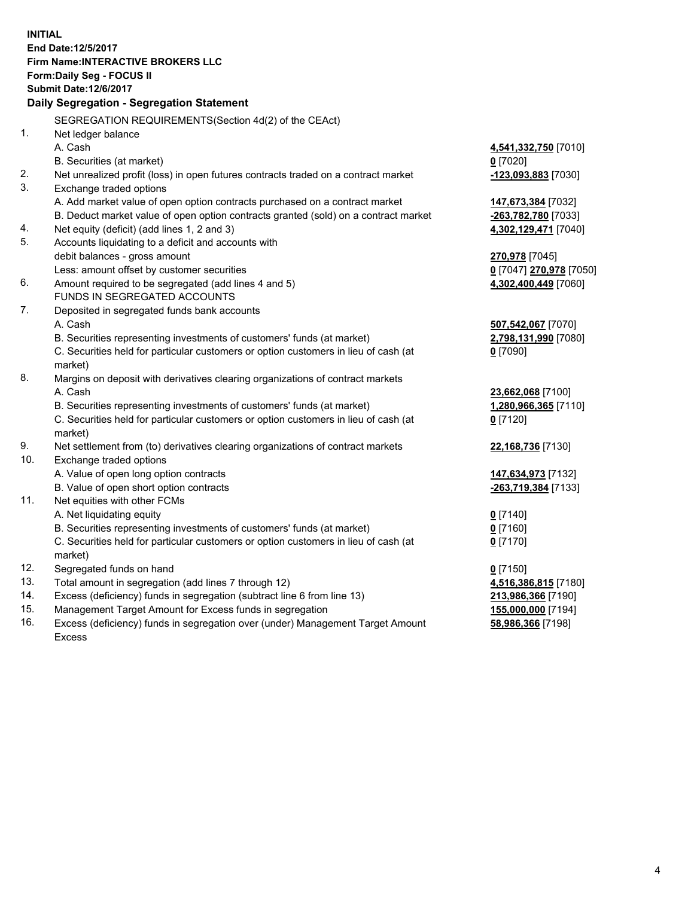**INITIAL End Date:12/5/2017 Firm Name:INTERACTIVE BROKERS LLC Form:Daily Seg - FOCUS II Submit Date:12/6/2017 Daily Segregation - Segregation Statement** SEGREGATION REQUIREMENTS(Section 4d(2) of the CEAct) 1. Net ledger balance A. Cash **4,541,332,750** [7010] B. Securities (at market) **0** [7020] 2. Net unrealized profit (loss) in open futures contracts traded on a contract market **-123,093,883** [7030] 3. Exchange traded options A. Add market value of open option contracts purchased on a contract market **147,673,384** [7032] B. Deduct market value of open option contracts granted (sold) on a contract market **-263,782,780** [7033] 4. Net equity (deficit) (add lines 1, 2 and 3) **4,302,129,471** [7040] 5. Accounts liquidating to a deficit and accounts with debit balances - gross amount **270,978** [7045] Less: amount offset by customer securities **0** [7047] **270,978** [7050] 6. Amount required to be segregated (add lines 4 and 5) **4,302,400,449** [7060] FUNDS IN SEGREGATED ACCOUNTS 7. Deposited in segregated funds bank accounts A. Cash **507,542,067** [7070] B. Securities representing investments of customers' funds (at market) **2,798,131,990** [7080] C. Securities held for particular customers or option customers in lieu of cash (at market) **0** [7090] 8. Margins on deposit with derivatives clearing organizations of contract markets A. Cash **23,662,068** [7100] B. Securities representing investments of customers' funds (at market) **1,280,966,365** [7110] C. Securities held for particular customers or option customers in lieu of cash (at market) **0** [7120] 9. Net settlement from (to) derivatives clearing organizations of contract markets **22,168,736** [7130] 10. Exchange traded options A. Value of open long option contracts **147,634,973** [7132] B. Value of open short option contracts **-263,719,384** [7133] 11. Net equities with other FCMs A. Net liquidating equity **0** [7140] B. Securities representing investments of customers' funds (at market) **0** [7160] C. Securities held for particular customers or option customers in lieu of cash (at market) **0** [7170] 12. Segregated funds on hand **0** [7150] 13. Total amount in segregation (add lines 7 through 12) **4,516,386,815** [7180] 14. Excess (deficiency) funds in segregation (subtract line 6 from line 13) **213,986,366** [7190] 15. Management Target Amount for Excess funds in segregation **155,000,000** [7194]

16. Excess (deficiency) funds in segregation over (under) Management Target Amount Excess

**58,986,366** [7198]